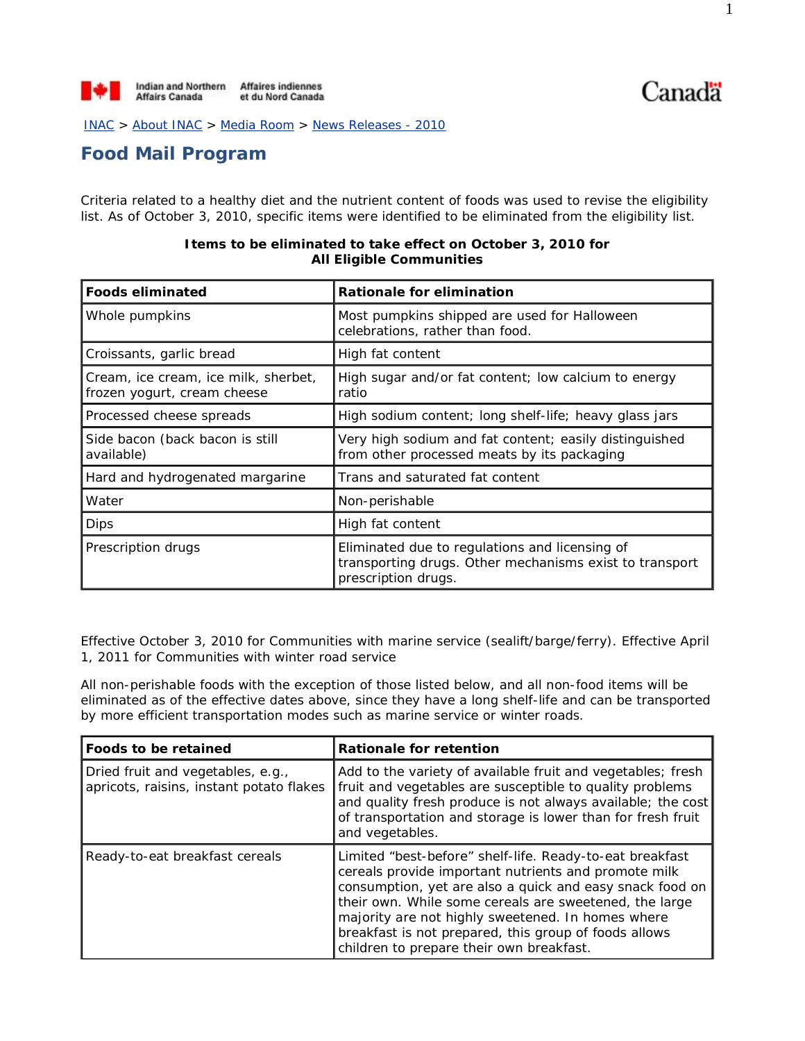Canadä

INAC > About INAC > Media Room > News Releases - 2010

## **Food Mail Program**

Criteria related to a healthy diet and the nutrient content of foods was used to revise the eligibility list. As of October 3, 2010, specific items were identified to be eliminated from the eligibility list.

| <b>Foods eliminated</b>                                             | Rationale for elimination                                                                                                        |
|---------------------------------------------------------------------|----------------------------------------------------------------------------------------------------------------------------------|
| Whole pumpkins                                                      | Most pumpkins shipped are used for Halloween<br>celebrations, rather than food.                                                  |
| Croissants, garlic bread                                            | High fat content                                                                                                                 |
| Cream, ice cream, ice milk, sherbet,<br>frozen yogurt, cream cheese | High sugar and/or fat content; low calcium to energy<br>ratio                                                                    |
| Processed cheese spreads                                            | High sodium content; long shelf-life; heavy glass jars                                                                           |
| Side bacon (back bacon is still<br>available)                       | Very high sodium and fat content; easily distinguished<br>from other processed meats by its packaging                            |
| Hard and hydrogenated margarine                                     | Trans and saturated fat content                                                                                                  |
| Water                                                               | Non-perishable                                                                                                                   |
| <b>Dips</b>                                                         | High fat content                                                                                                                 |
| Prescription drugs                                                  | Eliminated due to regulations and licensing of<br>transporting drugs. Other mechanisms exist to transport<br>prescription drugs. |

## **Items to be eliminated to take effect on October 3, 2010 for All Eligible Communities**

Effective October 3, 2010 for Communities with marine service (sealift/barge/ferry). Effective April 1, 2011 for Communities with winter road service

All non-perishable foods with the exception of those listed below, and all non-food items will be eliminated as of the effective dates above, since they have a long shelf-life and can be transported by more efficient transportation modes such as marine service or winter roads.

| Foods to be retained                                                          | <b>Rationale for retention</b>                                                                                                                                                                                                                                                                                                                                                                   |
|-------------------------------------------------------------------------------|--------------------------------------------------------------------------------------------------------------------------------------------------------------------------------------------------------------------------------------------------------------------------------------------------------------------------------------------------------------------------------------------------|
| Dried fruit and vegetables, e.g.,<br>apricots, raisins, instant potato flakes | Add to the variety of available fruit and vegetables; fresh<br>fruit and vegetables are susceptible to quality problems<br>and quality fresh produce is not always available; the cost<br>of transportation and storage is lower than for fresh fruit<br>and vegetables.                                                                                                                         |
| Ready-to-eat breakfast cereals                                                | Limited "best-before" shelf-life. Ready-to-eat breakfast<br>cereals provide important nutrients and promote milk<br>consumption, yet are also a quick and easy snack food on<br>their own. While some cereals are sweetened, the large<br>majority are not highly sweetened. In homes where<br>breakfast is not prepared, this group of foods allows<br>children to prepare their own breakfast. |